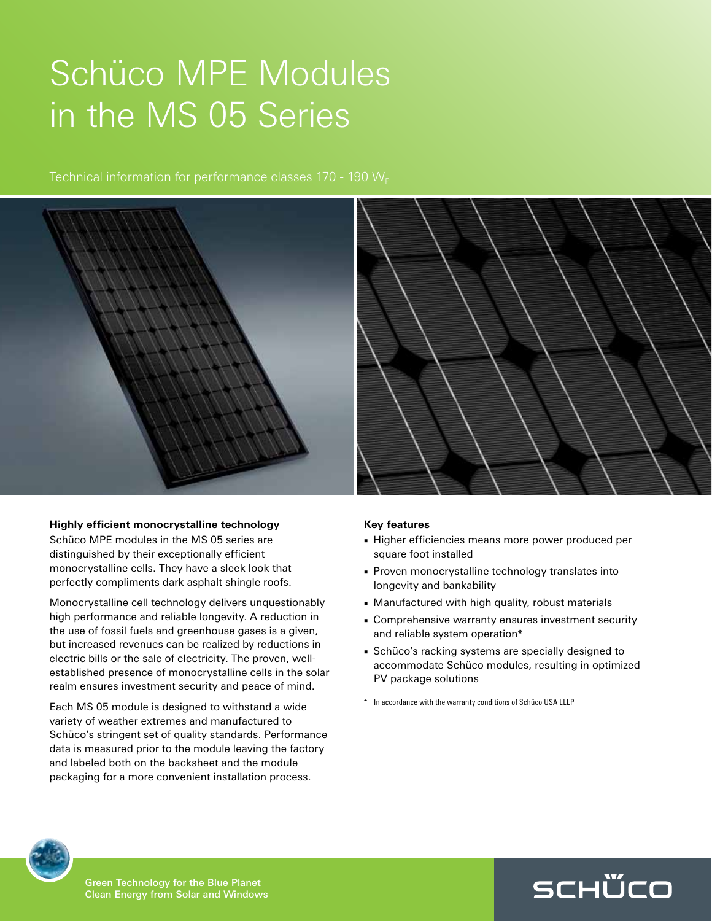## Schüco MPE Modules in the MS 05 Series

Technical information for performance classes  $170 - 190 W_{\rm p}$ 



## **Highly efficient monocrystalline technology**

Schüco MPE modules in the MS 05 series are distinguished by their exceptionally efficient monocrystalline cells. They have a sleek look that perfectly compliments dark asphalt shingle roofs.

Monocrystalline cell technology delivers unquestionably high performance and reliable longevity. A reduction in the use of fossil fuels and greenhouse gases is a given, but increased revenues can be realized by reductions in electric bills or the sale of electricity. The proven, wellestablished presence of monocrystalline cells in the solar realm ensures investment security and peace of mind.

Each MS 05 module is designed to withstand a wide variety of weather extremes and manufactured to Schüco's stringent set of quality standards. Performance data is measured prior to the module leaving the factory and labeled both on the backsheet and the module packaging for a more convenient installation process.

## **Key features**

- Higher efficiencies means more power produced per square foot installed
- Proven monocrystalline technology translates into longevity and bankability
- Manufactured with high quality, robust materials
- Comprehensive warranty ensures investment security and reliable system operation\*
- Schüco's racking systems are specially designed to accommodate Schüco modules, resulting in optimized PV package solutions

SCHÜCO

\* In accordance with the warranty conditions of Schüco USA LLLP